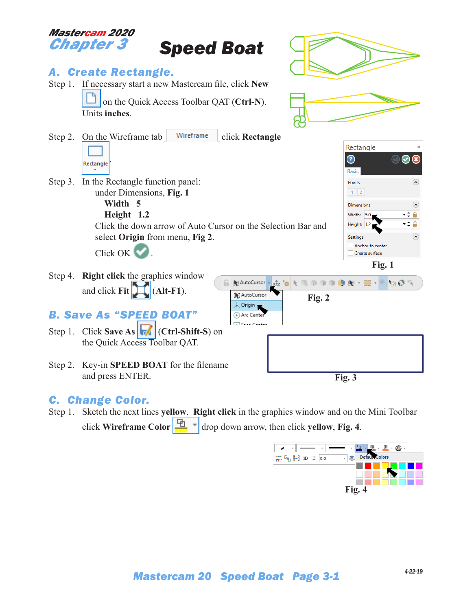

#### *C. Change Color.*

Step 1. Sketch the next lines **yellow**. **Right click** in the graphics window and on the Mini Toolbar click **Wireframe Color**  $\boxed{\frac{\Box n}{\Box}}$   $\boxed{\phantom{n}}$  drop down arrow, then click **yellow**, **Fig. 4**.

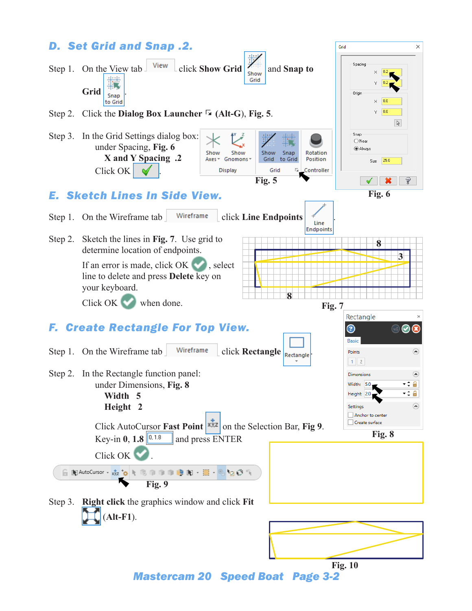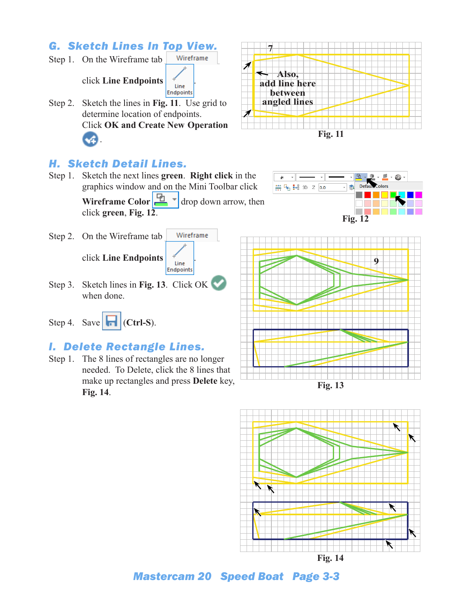# *G. Sketch Lines In Top View.*

Step 1. On the Wireframe tab Wireframe click **Line Endpoints** . Endpoints Step 2. Sketch the lines in **Fig. 11**. Use grid to determine location of endpoints. Click **OK and Create New Operation**



## *H. Sketch Detail Lines.*

 $\mathbf{A}$ .

- Step 1. Sketch the next lines **green**. **Right click** in the graphics window and on the Mini Toolbar click **Wireframe Color**  $\left| \frac{\mu_0}{\sigma_0} \right|$  arrow, then click **green**, **Fig. 12**.
- Wireframe Step 2. On the Wireframe tab click **Line Endpoints** . Endpoints
- Step 3. Sketch lines in **Fig. 13**. Click OK when done.
- Step 4. Save  $\left|\mathbf{F}\right|$  (Ctrl-S).

### *I. Delete Rectangle Lines.*

Step 1. The 8 lines of rectangles are no longer needed. To Delete, click the 8 lines that make up rectangles and press **Delete** key, **Fig. 14**.









*Mastercam 20 Speed Boat Page 3-3*